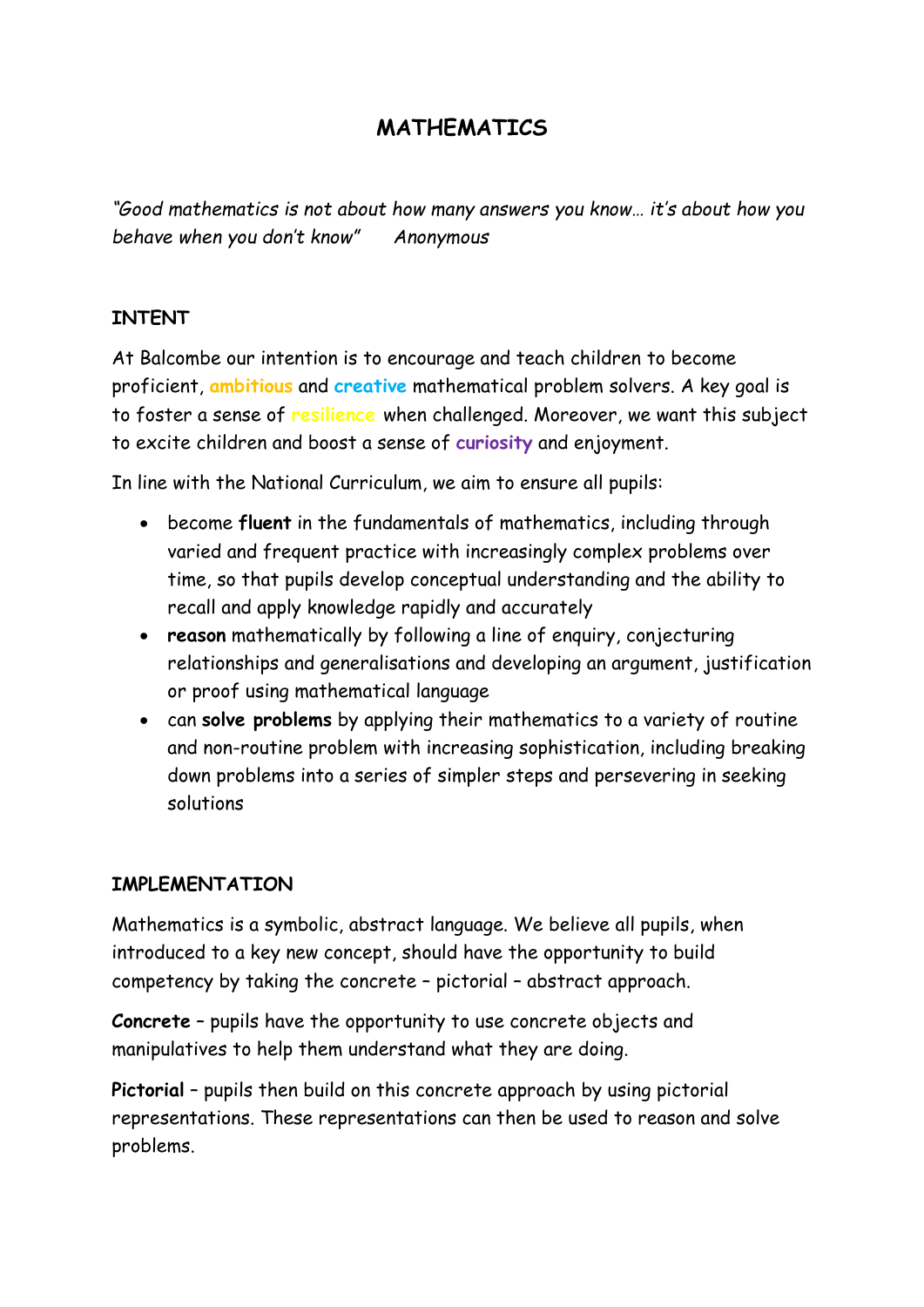## **MATHEMATICS**

*"Good mathematics is not about how many answers you know… it's about how you behave when you don't know" Anonymous*

## **INTENT**

At Balcombe our intention is to encourage and teach children to become proficient, **ambitious** and **creative** mathematical problem solvers. A key goal is to foster a sense of **resilience** when challenged. Moreover, we want this subject to excite children and boost a sense of **curiosity** and enjoyment.

In line with the National Curriculum, we aim to ensure all pupils:

- become **fluent** in the fundamentals of mathematics, including through varied and frequent practice with increasingly complex problems over time, so that pupils develop conceptual understanding and the ability to recall and apply knowledge rapidly and accurately
- **reason** mathematically by following a line of enquiry, conjecturing relationships and generalisations and developing an argument, justification or proof using mathematical language
- can **solve problems** by applying their mathematics to a variety of routine and non-routine problem with increasing sophistication, including breaking down problems into a series of simpler steps and persevering in seeking solutions

## **IMPLEMENTATION**

Mathematics is a symbolic, abstract language. We believe all pupils, when introduced to a key new concept, should have the opportunity to build competency by taking the concrete – pictorial – abstract approach.

**Concrete** – pupils have the opportunity to use concrete objects and manipulatives to help them understand what they are doing.

**Pictorial** – pupils then build on this concrete approach by using pictorial representations. These representations can then be used to reason and solve problems.